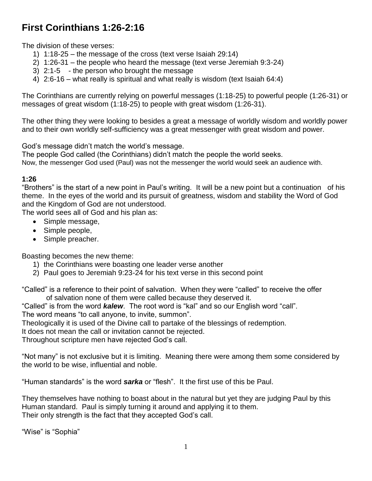# **First Corinthians 1:26-2:16**

The division of these verses:

- 1) 1:18-25 the message of the cross (text verse Isaiah 29:14)
- 2) 1:26-31 the people who heard the message (text verse Jeremiah 9:3-24)
- 3) 2:1-5 the person who brought the message
- 4) 2:6-16 what really is spiritual and what really is wisdom (text Isaiah 64:4)

The Corinthians are currently relying on powerful messages (1:18-25) to powerful people (1:26-31) or messages of great wisdom (1:18-25) to people with great wisdom (1:26-31).

The other thing they were looking to besides a great a message of worldly wisdom and worldly power and to their own worldly self-sufficiency was a great messenger with great wisdom and power.

God's message didn't match the world's message.

The people God called (the Corinthians) didn't match the people the world seeks. Now, the messenger God used (Paul) was not the messenger the world would seek an audience with.

## **1:26**

"Brothers" is the start of a new point in Paul's writing. It will be a new point but a continuation of his theme. In the eyes of the world and its pursuit of greatness, wisdom and stability the Word of God and the Kingdom of God are not understood.

The world sees all of God and his plan as:

- Simple message,
- Simple people,
- Simple preacher.

Boasting becomes the new theme:

- 1) the Corinthians were boasting one leader verse another
- 2) Paul goes to Jeremiah 9:23-24 for his text verse in this second point

"Called" is a reference to their point of salvation. When they were "called" to receive the offer of salvation none of them were called because they deserved it.

"Called" is from the word *kalew*. The root word is "kal" and so our English word "call". The word means "to call anyone, to invite, summon".

Theologically it is used of the Divine call to partake of the blessings of redemption.

It does not mean the call or invitation cannot be rejected.

Throughout scripture men have rejected God's call.

"Not many" is not exclusive but it is limiting. Meaning there were among them some considered by the world to be wise, influential and noble.

"Human standards" is the word *sarka* or "flesh". It the first use of this be Paul.

They themselves have nothing to boast about in the natural but yet they are judging Paul by this Human standard. Paul is simply turning it around and applying it to them. Their only strength is the fact that they accepted God's call.

"Wise" is "Sophia"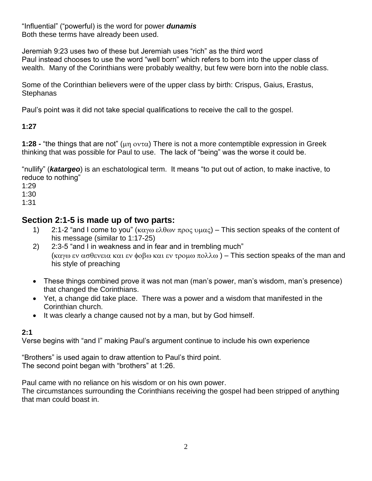"Influential" ("powerful) is the word for power *dunamis* Both these terms have already been used.

Jeremiah 9:23 uses two of these but Jeremiah uses "rich" as the third word Paul instead chooses to use the word "well born" which refers to born into the upper class of wealth. Many of the Corinthians were probably wealthy, but few were born into the noble class.

Some of the Corinthian believers were of the upper class by birth: Crispus, Gaius, Erastus, **Stephanas** 

Paul's point was it did not take special qualifications to receive the call to the gospel.

**1:27**

**1:28 -** "the things that are not" ( $\mu$ n ov $\tau$ α) There is not a more contemptible expression in Greek thinking that was possible for Paul to use. The lack of "being" was the worse it could be.

"nullify" (*katargeo*) is an eschatological term. It means "to put out of action, to make inactive, to reduce to nothing"

1:29

1:30

1:31

# **Section 2:1-5 is made up of two parts:**

- 1) 2:1-2 "and I come to you" ( $k\alpha y\omega \varepsilon \lambda \theta \omega y \pi \rho_0 \varsigma \nu \mu_0 \varsigma$ ) This section speaks of the content of his message (similar to 1:17-25)
- 2) 2:3-5 "and I in weakness and in fear and in trembling much" ( $\kappa \alpha y \omega$   $\epsilon y$   $\alpha \sigma \theta$  every  $\kappa \alpha$  is  $\epsilon y$   $\sigma \alpha \omega$   $\epsilon y$   $\sigma \omega$   $\alpha \sigma \omega$   $\alpha$ ) – This section speaks of the man and his style of preaching
- These things combined prove it was not man (man's power, man's wisdom, man's presence) that changed the Corinthians.
- Yet, a change did take place. There was a power and a wisdom that manifested in the Corinthian church.
- It was clearly a change caused not by a man, but by God himself.

## **2:1**

Verse begins with "and I" making Paul's argument continue to include his own experience

"Brothers" is used again to draw attention to Paul's third point. The second point began with "brothers" at 1:26.

Paul came with no reliance on his wisdom or on his own power.

The circumstances surrounding the Corinthians receiving the gospel had been stripped of anything that man could boast in.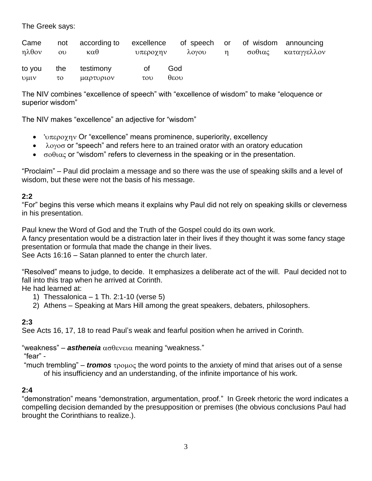The Greek says:

| Came<br>ηλθον          | not<br>O <sub>U</sub> | according to<br>καθ    | excellence<br>υπεροχην    |                     | λογου | $\eta$ | σοθιας | of speech or of wisdom announcing<br>καταγγελλον |
|------------------------|-----------------------|------------------------|---------------------------|---------------------|-------|--------|--------|--------------------------------------------------|
| to you<br><b>D</b> uty | the<br>το             | testimony<br>μαρτυριον | 0t<br>$\tau$ <sub>0</sub> | God<br>$\theta$ εου |       |        |        |                                                  |

The NIV combines "excellence of speech" with "excellence of wisdom" to make "eloquence or superior wisdom"

The NIV makes "excellence" an adjective for "wisdom"

- ' $\upsilon \pi \epsilon \rho \circ \chi \eta \vee$  Or "excellence" means prominence, superiority, excellency
- $\lambda$ <sup>o</sup> $\gamma$ <sup>o</sup> or "speech" and refers here to an trained orator with an oratory education
- $\bullet$   $\sigma$ o $\theta$  $\alpha$  c or "wisdom" refers to cleverness in the speaking or in the presentation.

"Proclaim" – Paul did proclaim a message and so there was the use of speaking skills and a level of wisdom, but these were not the basis of his message.

## **2:2**

"For" begins this verse which means it explains why Paul did not rely on speaking skills or cleverness in his presentation.

Paul knew the Word of God and the Truth of the Gospel could do its own work.

A fancy presentation would be a distraction later in their lives if they thought it was some fancy stage presentation or formula that made the change in their lives.

See Acts 16:16 – Satan planned to enter the church later.

"Resolved" means to judge, to decide. It emphasizes a deliberate act of the will. Paul decided not to fall into this trap when he arrived at Corinth.

He had learned at:

- 1) Thessalonica 1 Th. 2:1-10 (verse 5)
- 2) Athens Speaking at Mars Hill among the great speakers, debaters, philosophers.

## **2:3**

See Acts 16, 17, 18 to read Paul's weak and fearful position when he arrived in Corinth.

<sup>"</sup>weakness" – astheneia ασθενεια meaning "weakness."

"fear" -

"much trembling" – *tromos*  $\tau_{\text{POLOC}}$  the word points to the anxiety of mind that arises out of a sense of his insufficiency and an understanding, of the infinite importance of his work.

## **2:4**

"demonstration" means "demonstration, argumentation, proof." In Greek rhetoric the word indicates a compelling decision demanded by the presupposition or premises (the obvious conclusions Paul had brought the Corinthians to realize.).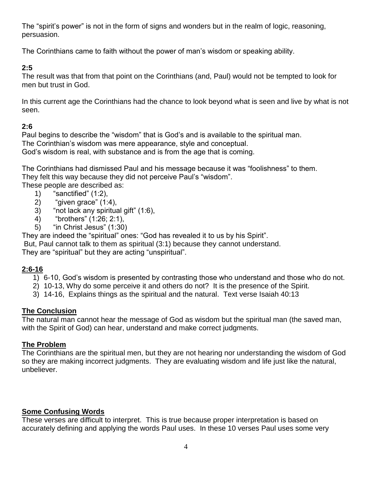The "spirit's power" is not in the form of signs and wonders but in the realm of logic, reasoning, persuasion.

The Corinthians came to faith without the power of man's wisdom or speaking ability.

## **2:5**

The result was that from that point on the Corinthians (and, Paul) would not be tempted to look for men but trust in God.

In this current age the Corinthians had the chance to look beyond what is seen and live by what is not seen.

# **2:6**

Paul begins to describe the "wisdom" that is God's and is available to the spiritual man. The Corinthian's wisdom was mere appearance, style and conceptual. God's wisdom is real, with substance and is from the age that is coming.

The Corinthians had dismissed Paul and his message because it was "foolishness" to them. They felt this way because they did not perceive Paul's "wisdom".

These people are described as:

- 1) "sanctified" (1:2),
- 2) "given grace" (1:4),
- 3) "not lack any spiritual gift" (1:6),
- 4) "brothers" (1:26; 2:1),
- 5) "in Christ Jesus" (1:30)

They are indeed the "spiritual" ones: "God has revealed it to us by his Spirit".

But, Paul cannot talk to them as spiritual (3:1) because they cannot understand.

They are "spiritual" but they are acting "unspiritual".

## **2:6-16**

- 1) 6-10, God's wisdom is presented by contrasting those who understand and those who do not.
- 2) 10-13, Why do some perceive it and others do not? It is the presence of the Spirit.
- 3) 14-16, Explains things as the spiritual and the natural. Text verse Isaiah 40:13

## **The Conclusion**

The natural man cannot hear the message of God as wisdom but the spiritual man (the saved man, with the Spirit of God) can hear, understand and make correct judgments.

## **The Problem**

The Corinthians are the spiritual men, but they are not hearing nor understanding the wisdom of God so they are making incorrect judgments. They are evaluating wisdom and life just like the natural, unbeliever.

## **Some Confusing Words**

These verses are difficult to interpret. This is true because proper interpretation is based on accurately defining and applying the words Paul uses. In these 10 verses Paul uses some very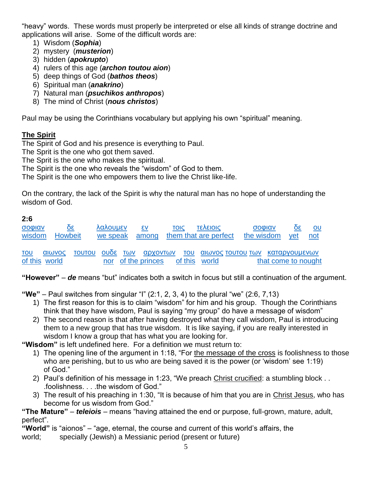"heavy" words. These words must properly be interpreted or else all kinds of strange doctrine and applications will arise. Some of the difficult words are:

- 1) Wisdom (*Sophia*)
- 2) mystery (*musterion*)
- 3) hidden (*apokrupto*)
- 4) rulers of this age (*archon toutou aion*)
- 5) deep things of God (*bathos theos*)
- 6) Spiritual man (*anakrino*)
- 7) Natural man (*psuchikos anthropos*)
- 8) The mind of Christ (*nous christos*)

Paul may be using the Corinthians vocabulary but applying his own "spiritual" meaning.

## **The Spirit**

The Spirit of God and his presence is everything to Paul.

The Sprit is the one who got them saved.

The Sprit is the one who makes the spiritual.

The Spirit is the one who reveals the "wisdom" of God to them.

The Spirit is the one who empowers them to live the Christ like-life.

On the contrary, the lack of the Spirit is why the natural man has no hope of understanding the wisdom of God.

## **2:6**

| σοφιαν<br>wisdom            | $30^{\circ}$<br>Howbeit | λαλουμεν<br>we speak among | εv | <b>TOIC</b> | <b><i><u>ΣΙΟΙ3Λ3Τ</u></i></b><br>them that are perfect | σοφιαν<br>the wisdom                                              |                     | $\overline{\text{20}}$<br>yet | OU<br>not |
|-----------------------------|-------------------------|----------------------------|----|-------------|--------------------------------------------------------|-------------------------------------------------------------------|---------------------|-------------------------------|-----------|
| <b>TOU</b><br>of this world | αιωνος                  |                            |    |             | nor of the princes of this world                       | <u>τουτου ουδε των αρχοντων του αιωνοςτουτουτων καταργουμενων</u> | that come to nought |                               |           |

**"However"** – *de* means "but" indicates both a switch in focus but still a continuation of the argument.

**"We"** – Paul switches from singular "I" (2:1, 2, 3, 4) to the plural "we" (2:6, 7,13)

- 1) The first reason for this is to claim "wisdom" for him and his group. Though the Corinthians think that they have wisdom, Paul is saying "my group" do have a message of wisdom"
- 2) The second reason is that after having destroyed what they call wisdom, Paul is introducing them to a new group that has true wisdom. It is like saying, if you are really interested in wisdom I know a group that has what you are looking for.

**"Wisdom"** is left undefined here. For a definition we must return to:

- 1) The opening line of the argument in 1:18, "For the message of the cross is foolishness to those who are perishing, but to us who are being saved it is the power (or 'wisdom' see 1:19) of God."
- 2) Paul's definition of his message in 1:23, "We preach Christ crucified: a stumbling block . . .foolishness. . . .the wisdom of God."
- 3) The result of his preaching in 1:30, "It is because of him that you are in Christ Jesus, who has become for us wisdom from God."

#### **"The Mature"** – *teleiois* – means "having attained the end or purpose, full-grown, mature, adult, perfect".

**"World"** is "aionos" – "age, eternal, the course and current of this world's affairs, the

world; specially (Jewish) a Messianic period (present or future)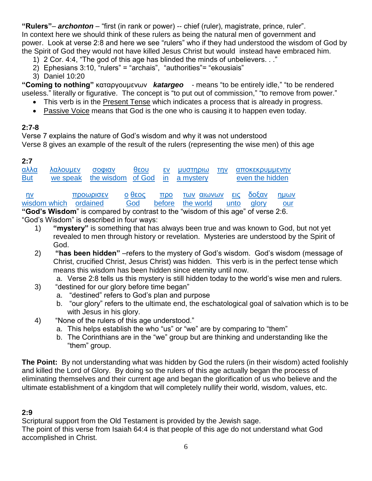**"Rulers"**– *archonton* – "first (in rank or power) -- chief (ruler), magistrate, prince, ruler". In context here we should think of these rulers as being the natural men of government and power. Look at verse 2:8 and here we see "rulers" who if they had understood the wisdom of God by the Spirit of God they would not have killed Jesus Christ but would instead have embraced him.

- 1) 2 Cor. 4:4, "The god of this age has blinded the minds of unbelievers. . ."
- 2) Ephesians 3:10, "rulers" = "archais", "authorities"= "ekousiais"
- 3) Daniel 10:20

**"Coming to nothing"** καταργουμενων *katargeo* - means "to be entirely idle," "to be rendered useless." literally or figurative. The concept is "to put out of commission," "to remove from power."

- This verb is in the Present Tense which indicates a process that is already in progress.
- Passive Voice means that God is the one who is causing it to happen even today.

## **2:7-8**

Verse 7 explains the nature of God's wisdom and why it was not understood Verse 8 gives an example of the result of the rulers (representing the wise men) of this age

## **2:7**

| <u>αλλα</u><br><b>But</b> | λαλουμεν<br>we speak | σοφιαν<br>the wisdom of God in a mystery | θεου          |                              | εν μυστηριω |                      | την  | <b>αποκεκρυμμενην</b><br>even the hidden |             |
|---------------------------|----------------------|------------------------------------------|---------------|------------------------------|-------------|----------------------|------|------------------------------------------|-------------|
| nv<br>wisdom which        |                      | <b>ΠΡΟΜΟΙΟΣΥ</b><br>ordained             | ρο3θ ο<br>God | $\pi$ <sup>o</sup><br>before | the world   | των αιωνων εις δοξαν | unto | <b>alory</b>                             | ημων<br>our |

**"God's Wisdom**" is compared by contrast to the "wisdom of this age" of verse 2:6. "God's Wisdom" is described in four ways:

- 1) **"mystery"** is something that has always been true and was known to God, but not yet revealed to men through history or revelation. Mysteries are understood by the Spirit of God.
- 2) **"has been hidden"** –refers to the mystery of God's wisdom. God's wisdom (message of Christ, crucified Christ, Jesus Christ) was hidden. This verb is in the perfect tense which means this wisdom has been hidden since eternity until now.
	- a. Verse 2:8 tells us this mystery is still hidden today to the world's wise men and rulers.
- 3) "destined for our glory before time began"
	- a. "destined" refers to God's plan and purpose
	- b. "our glory" refers to the ultimate end, the eschatological goal of salvation which is to be with Jesus in his glory.
- 4) "None of the rulers of this age understood."
	- a. This helps establish the who "us" or "we" are by comparing to "them"
	- b. The Corinthians are in the "we" group but are thinking and understanding like the "them" group.

**The Point:** By not understanding what was hidden by God the rulers (in their wisdom) acted foolishly and killed the Lord of Glory. By doing so the rulers of this age actually began the process of eliminating themselves and their current age and began the glorification of us who believe and the ultimate establishment of a kingdom that will completely nullify their world, wisdom, values, etc.

## **2:9**

Scriptural support from the Old Testament is provided by the Jewish sage. The point of this verse from Isaiah 64:4 is that people of this age do not understand what God accomplished in Christ.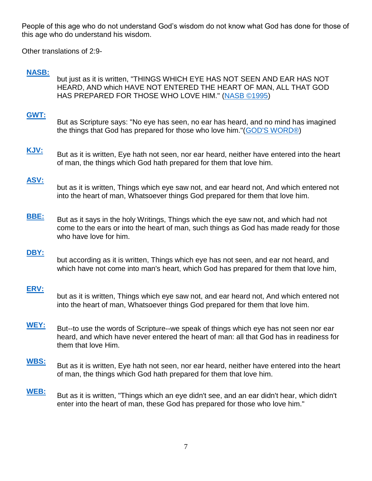People of this age who do not understand God's wisdom do not know what God has done for those of this age who do understand his wisdom.

Other translations of 2:9-

## **[NASB:](http://nasb.scripturetext.com/1_corinthians/2.htm)**

but just as it is written, "THINGS WHICH EYE HAS NOT SEEN AND EAR HAS NOT HEARD, AND which HAVE NOT ENTERED THE HEART OF MAN, ALL THAT GOD HAS PREPARED FOR THOSE WHO LOVE HIM." [\(NASB ©1995\)](http://www.lockman.org/)

#### **[GWT:](http://gwt.scripturetext.com/1_corinthians/2.htm)**

- But as Scripture says: "No eye has seen, no ear has heard, and no mind has imagined the things that God has prepared for those who love him."[\(GOD'S WORD®\)](http://www.godsword.org/)
- **[KJV:](http://kingjbible.com/1_corinthians/2.htm)** But as it is written, Eye hath not seen, nor ear heard, neither have entered into the heart of man, the things which God hath prepared for them that love him.

#### **[ASV:](http://asvbible.com/1_corinthians/2.htm)**

- but as it is written, Things which eye saw not, and ear heard not, And which entered not into the heart of man, Whatsoever things God prepared for them that love him.
- **[BBE:](http://basicenglishbible.com/1_corinthians/2.htm)** But as it says in the holy Writings, Things which the eye saw not, and which had not come to the ears or into the heart of man, such things as God has made ready for those who have love for him.

#### **[DBY:](http://darbybible.com/1_corinthians/2.htm)**

but according as it is written, Things which eye has not seen, and ear not heard, and which have not come into man's heart, which God has prepared for them that love him,

#### **[ERV:](http://erv.scripturetext.com/1_corinthians/2.htm)**

but as it is written, Things which eye saw not, and ear heard not, And which entered not into the heart of man, Whatsoever things God prepared for them that love him.

- **[WEY:](http://weymouthbible.com/1_corinthians/2.htm)** But--to use the words of Scripture--we speak of things which eye has not seen nor ear heard, and which have never entered the heart of man: all that God has in readiness for them that love Him.
- **[WBS:](http://websterbible.com/1_corinthians/2.htm)** But as it is written, Eye hath not seen, nor ear heard, neither have entered into the heart of man, the things which God hath prepared for them that love him.
- **[WEB:](http://worldebible.com/1_corinthians/2.htm)** But as it is written, "Things which an eye didn't see, and an ear didn't hear, which didn't enter into the heart of man, these God has prepared for those who love him."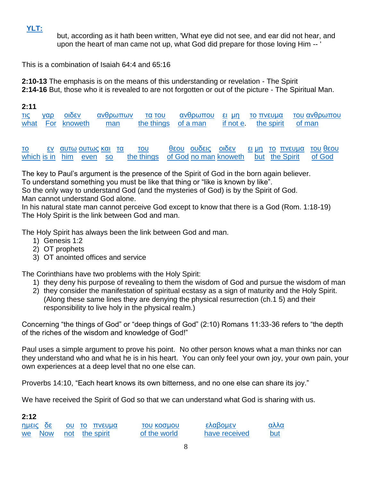# **[YLT:](http://yltbible.com/1_corinthians/2.htm)**

but, according as it hath been written, 'What eye did not see, and ear did not hear, and upon the heart of man came not up, what God did prepare for those loving Him -- '

This is a combination of Isaiah 64:4 and 65:16

**2:10-13** The emphasis is on the means of this understanding or revelation - The Spirit **2:14-16** But, those who it is revealed to are not forgotten or out of the picture - The Spiritual Man.

| 2:11 |     |                       |           |               |                             |              |            |                                 |
|------|-----|-----------------------|-----------|---------------|-----------------------------|--------------|------------|---------------------------------|
| IIς  | γαρ | <b>OIDEV</b>          | ανθρωπων  | <b>TO TOU</b> | ανθρωπου                    | <u>ει μη</u> | το πνευμα  | του ανθρωπου                    |
| what |     | For knoweth           | man       | the things    | of a man                    | if not e.    | the spirit | of man                          |
|      |     |                       |           |               |                             |              |            |                                 |
|      |     |                       |           |               |                             |              |            |                                 |
| TO   | εv  | <u>αυτω ουτως και</u> | <u>τα</u> | του           | <b>Ουδεις</b><br><b>UO3</b> | <u>N3διο</u> |            | <u>ει μη το πνευμα του θεου</u> |

[which](http://original.biblebrowser.com/greek/3588.htm) [is in](http://original.biblebrowser.com/greek/1722.htm) [him](http://original.biblebrowser.com/greek/846.htm) [even](http://original.biblebrowser.com/greek/2532.htm) [so](http://original.biblebrowser.com/greek/3779.htm) [the things](http://original.biblebrowser.com/greek/3588.htm) [of God](http://original.biblebrowser.com/greek/2316.htm) [no man](http://original.biblebrowser.com/greek/3762.htm) [knoweth](http://original.biblebrowser.com/greek/1492.htm) [but](http://original.biblebrowser.com/greek/1508.htm) [the Spirit](http://original.biblebrowser.com/greek/4151.htm) of God

The key to Paul's argument is the presence of the Spirit of God in the born again believer. To understand something you must be like that thing or "like is known by like".

So the only way to understand God (and the mysteries of God) is by the Spirit of God.

Man cannot understand God alone.

In his natural state man cannot perceive God except to know that there is a God (Rom. 1:18-19) The Holy Spirit is the link between God and man.

The Holy Spirit has always been the link between God and man.

- 1) Genesis 1:2
- 2) OT prophets
- 3) OT anointed offices and service

The Corinthians have two problems with the Holy Spirit:

- 1) they deny his purpose of revealing to them the wisdom of God and pursue the wisdom of man
- 2) they consider the manifestation of spiritual ecstasy as a sign of maturity and the Holy Spirit. (Along these same lines they are denying the physical resurrection (ch.1 5) and their responsibility to live holy in the physical realm.)

Concerning "the things of God" or "deep things of God" (2:10) Romans 11:33-36 refers to "the depth of the riches of the wisdom and knowledge of God!"

Paul uses a simple argument to prove his point. No other person knows what a man thinks nor can they understand who and what he is in his heart. You can only feel your own joy, your own pain, your own experiences at a deep level that no one else can.

Proverbs 14:10, "Each heart knows its own bitterness, and no one else can share its joy."

We have received the Spirit of God so that we can understand what God is sharing with us.

## **2:12**

| <u>ημεις δε</u> | ου το πνευμα   |  |
|-----------------|----------------|--|
| we Now          | not the spirit |  |

τ[ου](http://original.biblebrowser.com/greek/3756.htm) [κοσμου](http://original.biblebrowser.com/greek/2889.htm) [ελαβομεν](http://original.biblebrowser.com/greek/2983.htm) [αλλα](http://original.biblebrowser.com/greek/235.htm) [of the world](http://original.biblebrowser.com/greek/2889.htm) [have received](http://original.biblebrowser.com/greek/2983.htm) [but](http://original.biblebrowser.com/greek/235.htm)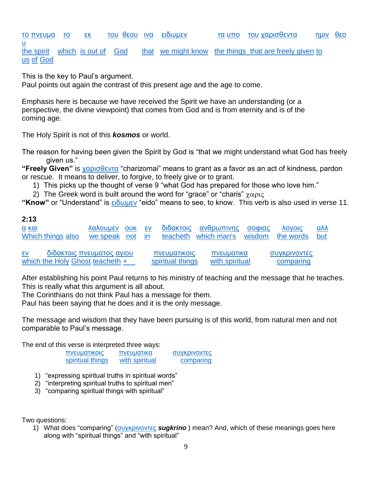[το](http://original.biblebrowser.com/greek/3588.htm) [πνευμα](http://original.biblebrowser.com/greek/4151.htm) [το](http://original.biblebrowser.com/greek/3588.htm) [εκ](http://original.biblebrowser.com/greek/1537.htm) [του](http://original.biblebrowser.com/greek/3588.htm) [θεου](http://original.biblebrowser.com/greek/2316.htm) [ινα](http://original.biblebrowser.com/greek/2443.htm) [ειδωμεν](http://original.biblebrowser.com/greek/1492.htm) [τα](http://original.biblebrowser.com/greek/3588.htm) [υπο](http://original.biblebrowser.com/greek/5259.htm) [του](http://original.biblebrowser.com/greek/3588.htm) [χαρισθεντα](http://original.biblebrowser.com/greek/5483.htm) [ημιν](http://original.biblebrowser.com/greek/2254.htm) [θεο](http://original.biblebrowser.com/greek/2316.htm) [υ](http://original.biblebrowser.com/greek/2316.htm) [the spirit](http://original.biblebrowser.com/greek/4151.htm) [which](http://original.biblebrowser.com/greek/3588.htm) [is out of](http://original.biblebrowser.com/greek/1537.htm) [God](http://original.biblebrowser.com/greek/2316.htm) [that](http://original.biblebrowser.com/greek/2443.htm) [we might know](http://original.biblebrowser.com/greek/1492.htm) [the things that are freely given](http://original.biblebrowser.com/greek/5483.htm) [to](http://original.biblebrowser.com/greek/2254.htm)  [us](http://original.biblebrowser.com/greek/2254.htm) [of](http://original.biblebrowser.com/greek/5259.htm) [God](http://original.biblebrowser.com/greek/2316.htm)

This is the key to Paul's argument.

Paul points out again the contrast of this present age and the age to come.

Emphasis here is because we have received the Spirit we have an understanding (or a perspective, the divine viewpoint) that comes from God and is from eternity and is of the coming age.

The Holy Spirit is not of this *kosmos* or world.

The reason for having been given the Spirit by God is "that we might understand what God has freely given us."

**"Freely Given"** is [χαρισθεντα](http://original.biblebrowser.com/greek/5483.htm) "charizomai" means to grant as a favor as an act of kindness, pardon or rescue. It means to deliver, to forgive, to freely give or to grant.

1) This picks up the thought of verse 9 "what God has prepared for those who love him."

2) The Greek word is built around the word for "grace" or "charis"  $\gamma \alpha \rho_1 \zeta$ 

**"Know"** or "Understand" is [ειδωμεν](http://original.biblebrowser.com/greek/1492.htm) "eido" means to see, to know. This verb is also used in verse 11.

#### **2:13**

| α και                                                                       |  |  | <u>λαλουμεν ουκ εν διδακτοις ανθρωπινης σοφιας λογοις</u> |  | <u>αλλ</u> |
|-----------------------------------------------------------------------------|--|--|-----------------------------------------------------------|--|------------|
| Which things also we speak not in teacheth which man's wisdom the words but |  |  |                                                           |  |            |

[εν](http://original.biblebrowser.com/greek/1722.htm) [διδακτοις](http://original.biblebrowser.com/greek/1318.htm) [πνευματος](http://original.biblebrowser.com/greek/4151.htm) [αγιου](http://original.biblebrowser.com/greek/40.htm) [πνευματικοις πνευματικα](http://original.biblebrowser.com/greek/4152.htm) [συγκρινοντες](http://original.biblebrowser.com/greek/4793.htm) [which the Holy](http://original.biblebrowser.com/greek/40.htm) [Ghost](http://original.biblebrowser.com/greek/4151.htm) [teacheth](http://original.biblebrowser.com/greek/1722.htm) + [spiritual things with spiritual](http://original.biblebrowser.com/greek/4152.htm) [comparing](http://original.biblebrowser.com/greek/4793.htm)

After establishing his point Paul returns to his ministry of teaching and the message that he teaches. This is really what this argument is all about.

The Corinthians do not think Paul has a message for them.

Paul has been saying that he does and it is the only message.

The message and wisdom that they have been pursuing is of this world, from natural men and not comparable to Paul's message.

The end of this verse is interpreted three ways:

| πνευματικοις     | πνευματικα     | συγκρινοντες |
|------------------|----------------|--------------|
| spiritual things | with spiritual | comparing    |

- 1) "expressing spiritual truths in spiritual words"
- 2) "interpreting spiritual truths to spiritual men"
- 3) "comparing spiritual things with spiritual"

Two questions:

1) What does "comparing" [\(συγκρινοντες](http://original.biblebrowser.com/greek/4793.htm) *sugkrino* ) mean? And, which of these meanings goes here along with "spiritual things" and "with spiritual"